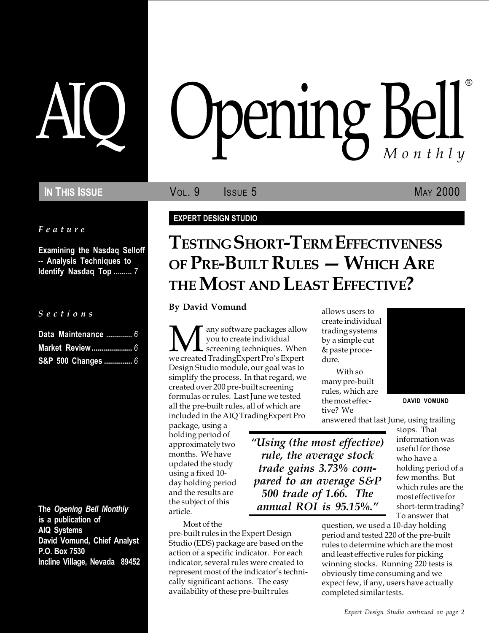### IN THIS ISSUE **VOL. 9** ISSUE 5 MAY 2000

Feature

Examining the Nasdaq Selloff -- Analysis Techniques to Identify Nasdaq Top ......... 7

#### S e c t i o n s

| Data Maintenance  6 |  |
|---------------------|--|
|                     |  |
| S&P 500 Changes  6  |  |

The Opening Bell Monthly is a publication of AIQ Systems David Vomund, Chief Analyst P.O. Box 7530 Incline Village, Nevada 89452

# pening Bell ®

#### EXPERT DESIGN STUDIO

## TESTING SHORT-TERM EFFECTIVENESS OF PRE-BUILT RULES - WHICH ARE THE MOST AND LEAST EFFECTIVE?

By David Vomund

**M** any software packages allow<br>you to create individual<br>we created TradingExpert Pro's Expert you to create individual  $\blacktriangle$  screening techniques. When Design Studio module, our goal was to simplify the process. In that regard, we created over 200 pre-built screening formulas or rules. Last June we tested all the pre-built rules, all of which are included in the AIQ TradingExpert Pro

package, using a holding period of approximately two months. We have updated the study using a fixed 10 day holding period and the results are the subject of this article.

Most of the pre-built rules in the Expert Design Studio (EDS) package are based on the action of a specific indicator. For each indicator, several rules were created to represent most of the indicator's technically significant actions. The easy availability of these pre-built rules

allows users to create individual trading systems by a simple cut & paste procedure.

With so many pre-built rules, which are the most effective? We



DAVID VOMUND

answered that last June, using trailing

useful for those who have a Using (the most effective) rule, the average stock trade gains 3.73% compared to an average S&P 500 trade of 1.66. The annual ROI is  $95.15\%$ ."

> question, we used a 10-day holding period and tested 220 of the pre-built rules to determine which are the most and least effective rules for picking winning stocks. Running 220 tests is obviously time consuming and we expect few, if any, users have actually completed similar tests.

stops. That information was holding period of a few months. But which rules are the most effective for short-term trading? To answer that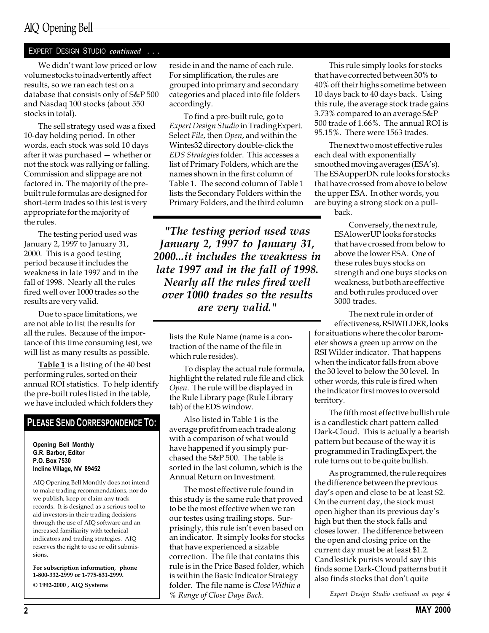## AIQ Opening Bell

#### EXPERT DESIGN STUDIO continued . . .

We didn't want low priced or low volume stocks to inadvertently affect results, so we ran each test on a database that consists only of S&P 500 and Nasdaq 100 stocks (about 550 stocks in total).

The sell strategy used was a fixed 10-day holding period. In other words, each stock was sold 10 days after it was purchased  $-$  whether or not the stock was rallying or falling. Commission and slippage are not factored in. The majority of the prebuilt rule formulas are designed for short-term trades so this test is very appropriate for the majority of the rules.

The testing period used was January 2, 1997 to January 31, 2000. This is a good testing period because it includes the weakness in late 1997 and in the fall of 1998. Nearly all the rules fired well over 1000 trades so the results are very valid.

Due to space limitations, we are not able to list the results for all the rules. Because of the importance of this time consuming test, we will list as many results as possible.

Table 1 is a listing of the 40 best performing rules, sorted on their annual ROI statistics. To help identify the pre-built rules listed in the table, we have included which folders they

#### PLEASE SEND CORRESPONDENCE TO:

Opening Bell Monthly G.R. Barbor, Editor P.O. Box 7530 Incline Village, NV 89452

AIQ Opening Bell Monthly does not intend to make trading recommendations, nor do we publish, keep or claim any track records. It is designed as a serious tool to aid investors in their trading decisions through the use of AIQ software and an increased familiarity with technical indicators and trading strategies. AIQ reserves the right to use or edit submissions.

For subscription information, phone 1-800-332-2999 or 1-775-831-2999. © 1992-2000 , AIQ Systems

reside in and the name of each rule. For simplification, the rules are grouped into primary and secondary categories and placed into file folders accordingly.

To find a pre-built rule, go to Expert Design Studio in TradingExpert. Select File, then Open, and within the Wintes32 directory double-click the EDS Strategies folder. This accesses a list of Primary Folders, which are the names shown in the first column of Table 1. The second column of Table 1 lists the Secondary Folders within the Primary Folders, and the third column

"The testing period used was January 2, 1997 to January 31, 2000...it includes the weakness in late 1997 and in the fall of 1998. Nearly all the rules fired well over 1000 trades so the results are very valid."

lists the Rule Name (name is a contraction of the name of the file in which rule resides).

To display the actual rule formula, highlight the related rule file and click Open. The rule will be displayed in the Rule Library page (Rule Library tab) of the EDS window.

Also listed in Table 1 is the average profit from each trade along with a comparison of what would have happened if you simply purchased the S&P 500. The table is sorted in the last column, which is the Annual Return on Investment.

The most effective rule found in this study is the same rule that proved to be the most effective when we ran our testes using trailing stops. Surprisingly, this rule isn't even based on an indicator. It simply looks for stocks that have experienced a sizable correction. The file that contains this rule is in the Price Based folder, which is within the Basic Indicator Strategy folder. The file name is Close Within a % Range of Close Days Back.

This rule simply looks for stocks that have corrected between 30% to 40% off their highs sometime between 10 days back to 40 days back. Using this rule, the average stock trade gains 3.73% compared to an average S&P 500 trade of 1.66%. The annual ROI is 95.15%. There were 1563 trades.

The next two most effective rules each deal with exponentially smoothed moving averages (ESA's). The ESAupperDN rule looks for stocks that have crossed from above to below the upper ESA. In other words, you are buying a strong stock on a pullback.

> Conversely, the next rule, ESAlowerUP looks for stocks that have crossed from below to above the lower ESA. One of these rules buys stocks on strength and one buys stocks on weakness, but both are effective and both rules produced over 3000 trades.

The next rule in order of effectiveness, RSIWILDER, looks for situations where the color barometer shows a green up arrow on the RSI Wilder indicator. That happens when the indicator falls from above

the 30 level to below the 30 level. In other words, this rule is fired when the indicator first moves to oversold territory.

The fifth most effective bullish rule is a candlestick chart pattern called Dark-Cloud. This is actually a bearish pattern but because of the way it is programmed in TradingExpert, the rule turns out to be quite bullish.

As programmed, the rule requires the difference between the previous day's open and close to be at least \$2. On the current day, the stock must open higher than its previous day's high but then the stock falls and closes lower. The difference between the open and closing price on the current day must be at least \$1.2. Candlestick purists would say this finds some Dark-Cloud patterns but it also finds stocks that don't quite

Expert Design Studio continued on page 4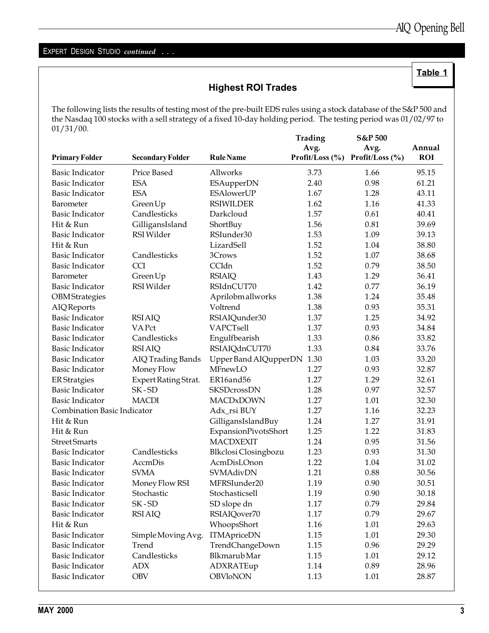### Highest ROI Trades

The following lists the results of testing most of the pre-built EDS rules using a stock database of the S&P 500 and the Nasdaq 100 stocks with a sell strategy of a fixed 10-day holding period. The testing period was 01/02/97 to 01/31/00.

|                                     |                          |                                 | Trading                     | S&P 500                 |                      |
|-------------------------------------|--------------------------|---------------------------------|-----------------------------|-------------------------|----------------------|
| <b>Primary Folder</b>               | <b>Secondary Folder</b>  | <b>Rule Name</b>                | Avg.<br>Profit/Loss $(\% )$ | Avg.<br>Profit/Loss (%) | Annual<br><b>ROI</b> |
| <b>Basic Indicator</b>              | Price Based              | Allworks                        | 3.73                        | 1.66                    | 95.15                |
| <b>Basic Indicator</b>              | <b>ESA</b>               |                                 | 2.40                        | 0.98                    | 61.21                |
| <b>Basic Indicator</b>              | <b>ESA</b>               | ESAupperDN<br><b>ESAlowerUP</b> | 1.67                        | 1.28                    | 43.11                |
|                                     |                          | <b>RSIWILDER</b>                | 1.62                        | 1.16                    | 41.33                |
| Barometer<br><b>Basic Indicator</b> | Green Up<br>Candlesticks | Darkcloud                       | 1.57                        | 0.61                    | 40.41                |
|                                     |                          |                                 |                             |                         |                      |
| Hit & Run                           | GilligansIsland          | ShortBuy<br>RSIunder30          | 1.56                        | 0.81                    | 39.69                |
| <b>Basic Indicator</b>              | RSI Wilder               |                                 | 1.53                        | 1.09                    | 39.13                |
| Hit & Run                           |                          | LizardSell                      | 1.52                        | 1.04                    | 38.80                |
| <b>Basic Indicator</b>              | Candlesticks             | 3Crows                          | 1.52                        | 1.07                    | 38.68                |
| <b>Basic Indicator</b>              | <b>CCI</b>               | CCIdn                           | 1.52                        | 0.79                    | 38.50                |
| Barometer                           | Green Up                 | <b>RSIAIQ</b>                   | 1.43                        | 1.29                    | 36.41                |
| <b>Basic Indicator</b>              | RSI Wilder               | RSIdnCUT70                      | 1.42                        | 0.77                    | 36.19                |
| OBMStrategies                       |                          | Aprilobmallworks                | 1.38                        | 1.24                    | 35.48                |
| <b>AIQ</b> Reports                  |                          | Voltrend                        | 1.38                        | 0.93                    | 35.31                |
| <b>Basic Indicator</b>              | <b>RSI AIQ</b>           | RSIAIQunder30                   | 1.37                        | 1.25                    | 34.92                |
| <b>Basic Indicator</b>              | <b>VAPct</b>             | VAPCTsell                       | 1.37                        | 0.93                    | 34.84                |
| <b>Basic Indicator</b>              | Candlesticks             | Engulfbearish                   | 1.33                        | 0.86                    | 33.82                |
| <b>Basic Indicator</b>              | <b>RSI AIQ</b>           | RSIAIQdnCUT70                   | 1.33                        | 0.84                    | 33.76                |
| <b>Basic Indicator</b>              | AIQ Trading Bands        | Upper Band AIQupperDN           | 1.30                        | 1.03                    | 33.20                |
| Basic Indicator                     | Money Flow               | MFnewLO                         | 1.27                        | 0.93                    | 32.87                |
| <b>ER Stratgies</b>                 | Expert Rating Strat.     | ER16and56                       | 1.27                        | 1.29                    | 32.61                |
| <b>Basic Indicator</b>              | SK-SD                    | SKSDcrossDN                     | 1.28                        | 0.97                    | 32.57                |
| <b>Basic Indicator</b>              | <b>MACDI</b>             | <b>MACDxDOWN</b>                | 1.27                        | 1.01                    | 32.30                |
| Combination Basic Indicator         |                          | Adx_rsi BUY                     | 1.27                        | 1.16                    | 32.23                |
| Hit & Run                           |                          | GilligansIslandBuy              | 1.24                        | 1.27                    | 31.91                |
| Hit & Run                           |                          | ExpansionPivotsShort            | 1.25                        | 1.22                    | 31.83                |
| <b>Street Smarts</b>                |                          | <b>MACDXEXIT</b>                | 1.24                        | 0.95                    | 31.56                |
| <b>Basic Indicator</b>              | Candlesticks             | Blkclosi Closingbozu            | 1.23                        | 0.93                    | 31.30                |
| <b>Basic Indicator</b>              | AccmDis                  | AcmDisLOnon                     | 1.22                        | 1.04                    | 31.02                |
| <b>Basic Indicator</b>              | <b>SVMA</b>              | SVMAdivDN                       | 1.21                        | 0.88                    | 30.56                |
| <b>Basic Indicator</b>              | Money Flow RSI           | MFRSIunder20                    | 1.19                        | 0.90                    | 30.51                |
| <b>Basic Indicator</b>              | Stochastic               | Stochasticsell                  | 1.19                        | 0.90                    | 30.18                |
| <b>Basic Indicator</b>              | SK-SD                    | SD slope dn                     | 1.17                        | 0.79                    | 29.84                |
| <b>Basic Indicator</b>              | <b>RSI AIQ</b>           | RSIAIQover70                    | 1.17                        | 0.79                    | 29.67                |
| Hit & Run                           |                          | WhoopsShort                     | 1.16                        | 1.01                    | 29.63                |
| Basic Indicator                     | Simple Moving Avg.       | <b>ITMApriceDN</b>              | 1.15                        | 1.01                    | 29.30                |
| <b>Basic Indicator</b>              | Trend                    | TrendChangeDown                 | 1.15                        | 0.96                    | 29.29                |
| <b>Basic Indicator</b>              | Candlesticks             | Blkmarub Mar                    | 1.15                        | 1.01                    | 29.12                |
| <b>Basic Indicator</b>              | <b>ADX</b>               | ADXRATEup                       | 1.14                        | 0.89                    | 28.96                |
| <b>Basic Indicator</b>              | <b>OBV</b>               | <b>OBVIoNON</b>                 | 1.13                        | 1.01                    | 28.87                |
|                                     |                          |                                 |                             |                         |                      |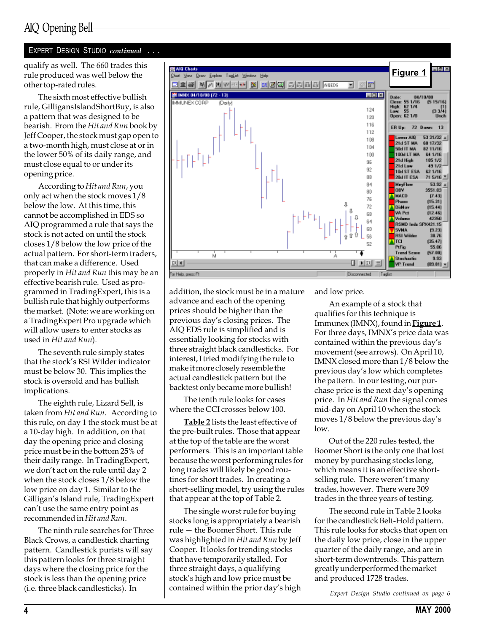qualify as well. The 660 trades this rule produced was well below the other top-rated rules.

The sixth most effective bullish rule, GilligansIslandShortBuy, is also a pattern that was designed to be bearish. From the Hit and Run book by Jeff Cooper, the stock must gap open to a two-month high, must close at or in the lower 50% of its daily range, and must close equal to or under its opening price.

According to Hit and Run, you only act when the stock moves 1/8 below the low. At this time, this cannot be accomplished in EDS so AIQ programmed a rule that says the stock is not acted on until the stock closes 1/8 below the low price of the actual pattern. For short-term traders, that can make a difference. Used properly in Hit and Run this may be an effective bearish rule. Used as programmed in TradingExpert, this is a bullish rule that highly outperforms the market. (Note: we are working on a TradingExpert Pro upgrade which will allow users to enter stocks as used in Hit and Run).

The seventh rule simply states that the stock's RSI Wilder indicator must be below 30. This implies the stock is oversold and has bullish implications.

The eighth rule, Lizard Sell, is taken from Hit and Run. According to this rule, on day 1 the stock must be at a 10-day high. In addition, on that day the opening price and closing price must be in the bottom 25% of their daily range. In TradingExpert, we don't act on the rule until day 2 when the stock closes 1/8 below the low price on day 1. Similar to the Gilligan's Island rule, TradingExpert can't use the same entry point as recommended in Hit and Run.

The ninth rule searches for Three Black Crows, a candlestick charting pattern. Candlestick purists will say this pattern looks for three straight days where the closing price for the stock is less than the opening price (i.e. three black candlesticks). In



addition, the stock must be in a mature advance and each of the opening prices should be higher than the previous day's closing prices. The AIQ EDS rule is simplified and is essentially looking for stocks with three straight black candlesticks. For interest, I tried modifying the rule to make it more closely resemble the actual candlestick pattern but the backtest only became more bullish!

The tenth rule looks for cases where the CCI crosses below 100.

Table 2 lists the least effective of the pre-built rules. Those that appear at the top of the table are the worst performers. This is an important table because the worst performing rules for long trades will likely be good routines for short trades. In creating a short-selling model, try using the rules that appear at the top of Table 2.

The single worst rule for buying stocks long is appropriately a bearish rule - the Boomer Short. This rule was highlighted in Hit and Run by Jeff Cooper. It looks for trending stocks that have temporarily stalled. For three straight days, a qualifying stock's high and low price must be contained within the prior day's high and low price.

An example of a stock that qualifies for this technique is Immunex (IMNX), found in **Figure 1**. For three days, IMNX's price data was contained within the previous day's movement (see arrows). On April 10, IMNX closed more than 1/8 below the previous day's low which completes the pattern. In our testing, our purchase price is the next day's opening price. In Hit and Run the signal comes mid-day on April 10 when the stock moves  $1/8$  below the previous day's low.

Out of the 220 rules tested, the Boomer Short is the only one that lost money by purchasing stocks long, which means it is an effective shortselling rule. There weren't many trades, however. There were 309 trades in the three years of testing.

The second rule in Table 2 looks for the candlestick Belt-Hold pattern. This rule looks for stocks that open on the daily low price, close in the upper quarter of the daily range, and are in short-term downtrends. This pattern greatly underperformed the market and produced 1728 trades.

Expert Design Studio continued on page 6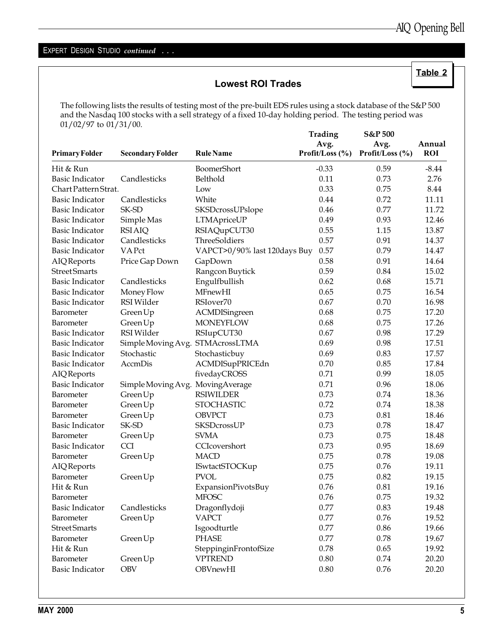#### Lowest ROI Trades

The following lists the results of testing most of the pre-built EDS rules using a stock database of the S&P 500 and the Nasdaq 100 stocks with a sell strategy of a fixed 10-day holding period. The testing period was 01/02/97 to 01/31/00.

|                        |                                   |                              | Trading             | S&P 500         |            |
|------------------------|-----------------------------------|------------------------------|---------------------|-----------------|------------|
|                        |                                   |                              | Avg.                | Avg.            | Annual     |
| <b>Primary Folder</b>  | <b>Secondary Folder</b>           | <b>Rule Name</b>             | Profit/Loss $(\% )$ | Profit/Loss (%) | <b>ROI</b> |
| Hit & Run              |                                   | BoomerShort                  | $-0.33$             | 0.59            | $-8.44$    |
| <b>Basic Indicator</b> | Candlesticks                      | Belthold                     | 0.11                | 0.73            | 2.76       |
| Chart Pattern Strat.   |                                   | Low                          | 0.33                | 0.75            | 8.44       |
| <b>Basic Indicator</b> | Candlesticks                      | White                        | 0.44                | 0.72            | 11.11      |
| <b>Basic Indicator</b> | SK-SD                             | SKSDcrossUPslope             | 0.46                | 0.77            | 11.72      |
| <b>Basic Indicator</b> | Simple Mas                        | <b>LTMApriceUP</b>           | 0.49                | 0.93            | 12.46      |
| <b>Basic Indicator</b> | <b>RSI AIQ</b>                    | RSIAQupCUT30                 | 0.55                | 1.15            | 13.87      |
| Basic Indicator        | Candlesticks                      | ThreeSoldiers                | 0.57                | 0.91            | 14.37      |
| <b>Basic Indicator</b> | <b>VAPct</b>                      | VAPCT>0/90% last 120days Buy | 0.57                | 0.79            | 14.47      |
| <b>AIQ</b> Reports     | Price Gap Down                    | GapDown                      | 0.58                | 0.91            | 14.64      |
| <b>Street Smarts</b>   |                                   | Rangcon Buytick              | 0.59                | 0.84            | 15.02      |
| <b>Basic Indicator</b> | Candlesticks                      | Engulfbullish                | 0.62                | 0.68            | 15.71      |
| <b>Basic Indicator</b> | Money Flow                        | MFnewHI                      | 0.65                | 0.75            | 16.54      |
| Basic Indicator        | RSI Wilder                        | RSIover70                    | 0.67                | 0.70            | 16.98      |
| Barometer              | Green Up                          | ACMDISingreen                | 0.68                | 0.75            | 17.20      |
| Barometer              | Green Up                          | <b>MONEYFLOW</b>             | 0.68                | 0.75            | 17.26      |
| <b>Basic Indicator</b> | RSI Wilder                        | RSIupCUT30                   | 0.67                | 0.98            | 17.29      |
| <b>Basic Indicator</b> | Simple Moving Avg. STMAcrossLTMA  |                              | 0.69                | 0.98            | 17.51      |
| <b>Basic Indicator</b> | Stochastic                        | Stochasticbuy                | 0.69                | 0.83            | 17.57      |
| <b>Basic Indicator</b> | AccmDis                           | ACMDISupPRICEdn              | 0.70                | 0.85            | 17.84      |
| AIQ Reports            |                                   | fivedayCROSS                 | 0.71                | 0.99            | 18.05      |
| Basic Indicator        | Simple Moving Avg. Moving Average |                              | 0.71                | 0.96            | 18.06      |
| Barometer              | Green Up                          | <b>RSIWILDER</b>             | 0.73                | 0.74            | 18.36      |
| Barometer              | Green Up                          | <b>STOCHASTIC</b>            | 0.72                | 0.74            | 18.38      |
| Barometer              | Green Up                          | <b>OBVPCT</b>                | 0.73                | 0.81            | 18.46      |
| <b>Basic Indicator</b> | SK-SD                             | SKSDcrossUP                  | 0.73                | 0.78            | 18.47      |
| Barometer              | Green Up                          | <b>SVMA</b>                  | 0.73                | 0.75            | 18.48      |
| <b>Basic Indicator</b> | <b>CCI</b>                        | CCIcovershort                | 0.73                | 0.95            | 18.69      |
| Barometer              | Green Up                          | <b>MACD</b>                  | 0.75                | 0.78            | 19.08      |
| <b>AIQ</b> Reports     |                                   | <b>ISwtactSTOCKup</b>        | 0.75                | 0.76            | 19.11      |
| Barometer              | Green Up                          | <b>PVOL</b>                  | 0.75                | 0.82            | 19.15      |
| Hit & Run              |                                   | ExpansionPivotsBuy           | 0.76                | 0.81            | 19.16      |
| Barometer              |                                   | <b>MFOSC</b>                 | 0.76                | 0.75            | 19.32      |
| Basic Indicator        | Candlesticks                      | Dragonflydoji                | 0.77                | 0.83            | 19.48      |
| Barometer              | Green Up                          | <b>VAPCT</b>                 | 0.77                | 0.76            | 19.52      |
| <b>Street Smarts</b>   |                                   | Isgoodturtle                 | 0.77                | 0.86            | 19.66      |
| Barometer              | Green Up                          | <b>PHASE</b>                 | 0.77                | 0.78            | 19.67      |
| Hit & Run              |                                   | SteppinginFrontofSize        | 0.78                | 0.65            | 19.92      |
| Barometer              | Green Up                          | <b>VPTREND</b>               | 0.80                | 0.74            | 20.20      |
| <b>Basic Indicator</b> | <b>OBV</b>                        | OBVnewHI                     | 0.80                | 0.76            | 20.20      |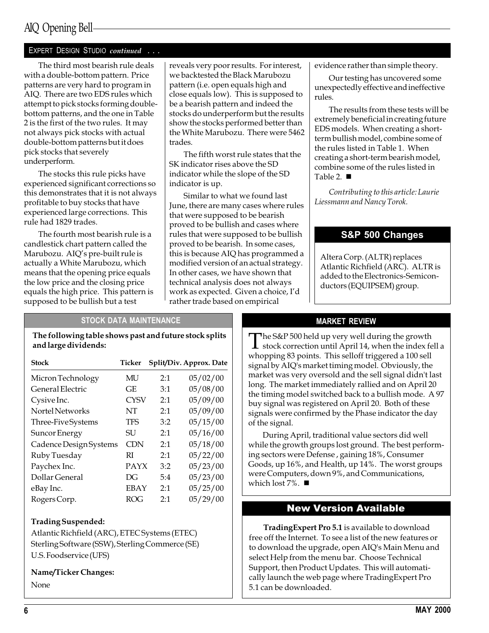The third most bearish rule deals with a double-bottom pattern. Price patterns are very hard to program in AIQ. There are two EDS rules which attempt to pick stocks forming doublebottom patterns, and the one in Table 2 is the first of the two rules. It may not always pick stocks with actual double-bottom patterns but it does pick stocks that severely underperform.

The stocks this rule picks have experienced significant corrections so this demonstrates that it is not always profitable to buy stocks that have experienced large corrections. This rule had 1829 trades.

The fourth most bearish rule is a candlestick chart pattern called the Marubozu. AIQ's pre-built rule is actually a White Marubozu, which means that the opening price equals the low price and the closing price equals the high price. This pattern is supposed to be bullish but a test

reveals very poor results. For interest, we backtested the Black Marubozu pattern (i.e. open equals high and close equals low). This is supposed to be a bearish pattern and indeed the stocks do underperform but the results show the stocks performed better than the White Marubozu. There were 5462 trades.

The fifth worst rule states that the SK indicator rises above the SD indicator while the slope of the SD indicator is up.

Similar to what we found last June, there are many cases where rules that were supposed to be bearish proved to be bullish and cases where rules that were supposed to be bullish proved to be bearish. In some cases, this is because AIQ has programmed a modified version of an actual strategy. In other cases, we have shown that technical analysis does not always work as expected. Given a choice, I'd rather trade based on empirical

evidence rather than simple theory.

Our testing has uncovered some unexpectedly effective and ineffective rules.

The results from these tests will be extremely beneficial in creating future EDS models. When creating a shortterm bullish model, combine some of the rules listed in Table 1. When creating a short-term bearish model, combine some of the rules listed in Table 2.  $\blacksquare$ 

Contributing to this article: Laurie Liessmann and Nancy Torok.

#### S&P 500 Changes

Altera Corp. (ALTR) replaces Atlantic Richfield (ARC). ALTR is added to the Electronics-Semiconductors (EQUIPSEM) group.

#### STOCK DATA MAINTENANCE

The following table shows past and future stock splits and large dividends:

| Stock                  | Ticker      |     | Split/Div. Approx. Date |
|------------------------|-------------|-----|-------------------------|
| Micron Technology      | MU          | 2:1 | 05/02/00                |
| General Electric       | GE          | 3:1 | 05/08/00                |
| Cysive Inc.            | <b>CYSV</b> | 2:1 | 05/09/00                |
| Nortel Networks        | NT          | 2:1 | 05/09/00                |
| Three-FiveSystems      | <b>TFS</b>  | 3:2 | 05/15/00                |
| <b>Suncor Energy</b>   | SU          | 2:1 | 05/16/00                |
| Cadence Design Systems | <b>CDN</b>  | 2:1 | 05/18/00                |
| Ruby Tuesday           | RI          | 2:1 | 05/22/00                |
| Paychex Inc.           | <b>PAYX</b> | 3:2 | 05/23/00                |
| Dollar General         | DG          | 5:4 | 05/23/00                |
| eBay Inc.              | EBAY        | 2:1 | 05/25/00                |
| Rogers Corp.           | ROG         | 2:1 | 05/29/00                |

#### Trading Suspended:

Atlantic Richfield (ARC), ETEC Systems (ETEC) Sterling Software (SSW), Sterling Commerce (SE) U.S. Foodservice (UFS)

Name/Ticker Changes:

None

MARKET REVIEW

The S&P 500 held up very well during the growth<br>stock correction until April 14, when the index fell a whopping 83 points. This selloff triggered a 100 sell signal by AIQ's market timing model. Obviously, the market was very oversold and the sell signal didn't last long. The market immediately rallied and on April 20 the timing model switched back to a bullish mode. A 97 buy signal was registered on April 20. Both of these signals were confirmed by the Phase indicator the day of the signal.

During April, traditional value sectors did well while the growth groups lost ground. The best performing sectors were Defense , gaining 18%, Consumer Goods, up 16%, and Health, up 14%. The worst groups were Computers, down 9%, and Communications, which lost  $7\%$ .

#### New Version Available

TradingExpert Pro 5.1 is available to download free off the Internet. To see a list of the new features or to download the upgrade, open AIQ's Main Menu and select Help from the menu bar. Choose Technical Support, then Product Updates. This will automatically launch the web page where TradingExpert Pro 5.1 can be downloaded.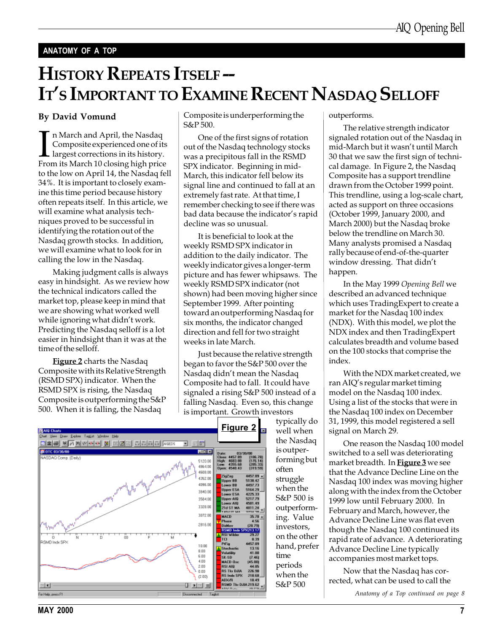#### ANATOMY OF A TOP

## **HISTORY REPEATS ITSELF--**IT'S IMPORTANT TO EXAMINE RECENT NASDAQ SELLOFF

#### By David Vomund

 $\prod_{\text{Fro}}$ n March and April, the Nasdaq Composite experienced one of its largest corrections in its history. From its March 10 closing high price to the low on April 14, the Nasdaq fell 34%. It is important to closely examine this time period because history often repeats itself. In this article, we will examine what analysis techniques proved to be successful in identifying the rotation out of the Nasdaq growth stocks. In addition, we will examine what to look for in calling the low in the Nasdaq.

Making judgment calls is always easy in hindsight. As we review how the technical indicators called the market top, please keep in mind that we are showing what worked well while ignoring what didn't work. Predicting the Nasdaq selloff is a lot easier in hindsight than it was at the time of the selloff.

**Figure 2** charts the Nasdaq Composite with its Relative Strength (RSMD SPX) indicator. When the RSMD SPX is rising, the Nasdaq Composite is outperforming the S&P 500. When it is falling, the Nasdaq

Composite is underperforming the S&P 500.

One of the first signs of rotation out of the Nasdaq technology stocks was a precipitous fall in the RSMD SPX indicator. Beginning in mid-March, this indicator fell below its signal line and continued to fall at an extremely fast rate. At that time, I remember checking to see if there was bad data because the indicator's rapid decline was so unusual.

It is beneficial to look at the weekly RSMD SPX indicator in addition to the daily indicator. The weekly indicator gives a longer-term picture and has fewer whipsaws. The weekly RSMD SPX indicator (not shown) had been moving higher since September 1999. After pointing toward an outperforming Nasdaq for six months, the indicator changed direction and fell for two straight weeks in late March.

Just because the relative strength began to favor the S&P 500 over the Nasdaq didn't mean the Nasdaq Composite had to fall. It could have signaled a rising S&P 500 instead of a falling Nasdaq. Even so, this change is important. Growth investors



typically do well when the Nasdaq is outperforming but often struggle when the S&P 500 is outperforming. Value investors, on the other hand, prefer time periods when the S&P 500

#### outperforms.

The relative strength indicator signaled rotation out of the Nasdaq in mid-March but it wasn't until March 30 that we saw the first sign of technical damage. In Figure 2, the Nasdaq Composite has a support trendline drawn from the October 1999 point. This trendline, using a log-scale chart, acted as support on three occasions (October 1999, January 2000, and March 2000) but the Nasdaq broke below the trendline on March 30. Many analysts promised a Nasdaq rally because of end-of-the-quarter window dressing. That didn't happen.

In the May 1999 Opening Bell we described an advanced technique which uses TradingExpert to create a market for the Nasdaq 100 index (NDX). With this model, we plot the NDX index and then TradingExpert calculates breadth and volume based on the 100 stocks that comprise the index.

With the NDX market created, we ran AIQ's regular market timing model on the Nasdaq 100 index. Using a list of the stocks that were in the Nasdaq 100 index on December 31, 1999, this model registered a sell signal on March 29.

One reason the Nasdaq 100 model switched to a sell was deteriorating market breadth. In **Figure 3** we see that the Advance Decline Line on the Nasdaq 100 index was moving higher along with the index from the October 1999 low until February 2000. In February and March, however, the Advance Decline Line was flat even though the Nasdaq 100 continued its rapid rate of advance. A deteriorating Advance Decline Line typically accompanies most market tops.

Now that the Nasdaq has corrected, what can be used to call the

Anatomy of a Top continued on page 8